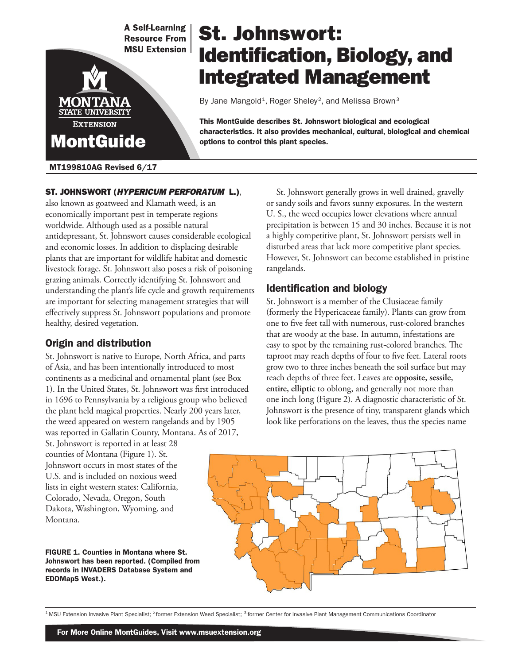**A Self-Learning Resource From MSU Extension** 



### MT199810AG Revised 6/17

# St. Johnswort: Identification, Biology, and Integrated Management

By Jane Mangold<sup>1</sup>, Roger Sheley<sup>2</sup>, and Melissa Brown<sup>3</sup>

This MontGuide describes St. Johnswort biological and ecological characteristics. It also provides mechanical, cultural, biological and chemical options to control this plant species.

## also known as goatweed and Klamath weed, is an economically important pest in temperate regions worldwide. Although used as a possible natural antidepressant, St. Johnswort causes considerable ecological and economic losses. In addition to displacing desirable plants that are important for wildlife habitat and domestic livestock forage, St. Johnswort also poses a risk of poisoning grazing animals. Correctly identifying St. Johnswort and understanding the plant's life cycle and growth requirements are important for selecting management strategies that will effectively suppress St. Johnswort populations and promote healthy, desired vegetation.

ST. JOHNSWORT (HYPERICUM PERFORATUM L.),

## Origin and distribution

St. Johnswort is native to Europe, North Africa, and parts of Asia, and has been intentionally introduced to most continents as a medicinal and ornamental plant (see Box 1). In the United States, St. Johnswort was first introduced in 1696 to Pennsylvania by a religious group who believed the plant held magical properties. Nearly 200 years later, the weed appeared on western rangelands and by 1905 was reported in Gallatin County, Montana. As of 2017,

St. Johnswort is reported in at least 28 counties of Montana (Figure 1). St. Johnswort occurs in most states of the U.S. and is included on noxious weed lists in eight western states: California, Colorado, Nevada, Oregon, South Dakota, Washington, Wyoming, and Montana.

FIGURE 1. Counties in Montana where St. Johnswort has been reported. (Compiled from records in INVADERS Database System and EDDMapS West.).



## Identification and biology

St. Johnswort is a member of the Clusiaceae family (formerly the Hypericaceae family). Plants can grow from one to five feet tall with numerous, rust-colored branches that are woody at the base. In autumn, infestations are easy to spot by the remaining rust-colored branches. The taproot may reach depths of four to five feet. Lateral roots grow two to three inches beneath the soil surface but may reach depths of three feet. Leaves are **opposite, sessile, entire, elliptic** to oblong, and generally not more than one inch long (Figure 2). A diagnostic characteristic of St. Johnswort is the presence of tiny, transparent glands which look like perforations on the leaves, thus the species name



<sup>1</sup> MSU Extension Invasive Plant Specialist; <sup>2</sup> former Extension Weed Specialist; <sup>3</sup> former Center for Invasive Plant Management Communications Coordinator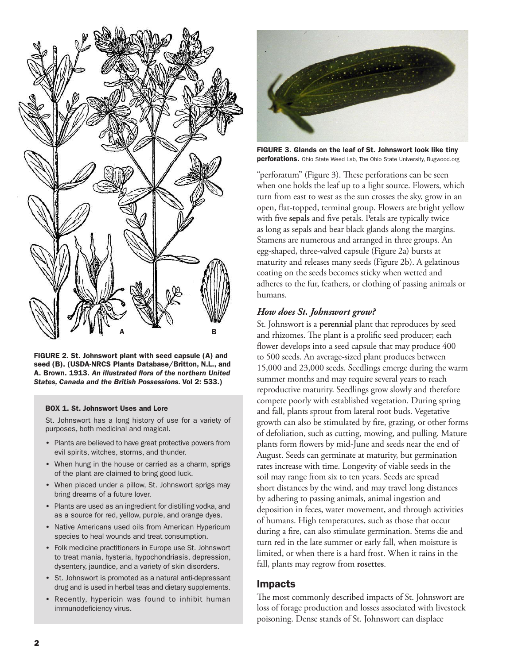

FIGURE 2. St. Johnswort plant with seed capsule (A) and seed (B). (USDA-NRCS Plants Database/Britton, N.L., and A. Brown. 1913. *An illustrated flora of the northern United States, Canada and the British Possessions.* Vol 2: 533.)

#### BOX 1. St. Johnswort Uses and Lore

St. Johnswort has a long history of use for a variety of purposes, both medicinal and magical.

- Plants are believed to have great protective powers from evil spirits, witches, storms, and thunder.
- When hung in the house or carried as a charm, sprigs of the plant are claimed to bring good luck.
- When placed under a pillow, St. Johnswort sprigs may bring dreams of a future lover.
- Plants are used as an ingredient for distilling vodka, and as a source for red, yellow, purple, and orange dyes.
- Native Americans used oils from American Hypericum species to heal wounds and treat consumption.
- Folk medicine practitioners in Europe use St. Johnswort to treat mania, hysteria, hypochondriasis, depression, dysentery, jaundice, and a variety of skin disorders.
- St. Johnswort is promoted as a natural anti-depressant drug and is used in herbal teas and dietary supplements.
- Recently, hypericin was found to inhibit human immunodeficiency virus.



FIGURE 3. Glands on the leaf of St. Johnswort look like tiny perforations. Ohio State Weed Lab, The Ohio State University, Bugwood.org

"perforatum" (Figure 3). These perforations can be seen when one holds the leaf up to a light source. Flowers, which turn from east to west as the sun crosses the sky, grow in an open, flat-topped, terminal group. Flowers are bright yellow with five **sepals** and five petals. Petals are typically twice as long as sepals and bear black glands along the margins. Stamens are numerous and arranged in three groups. An egg-shaped, three-valved capsule (Figure 2a) bursts at maturity and releases many seeds (Figure 2b). A gelatinous coating on the seeds becomes sticky when wetted and adheres to the fur, feathers, or clothing of passing animals or humans.

#### *How does St. Johnswort grow?*

St. Johnswort is a **perennial** plant that reproduces by seed and rhizomes. The plant is a prolific seed producer; each flower develops into a seed capsule that may produce 400 to 500 seeds. An average-sized plant produces between 15,000 and 23,000 seeds. Seedlings emerge during the warm summer months and may require several years to reach reproductive maturity. Seedlings grow slowly and therefore compete poorly with established vegetation. During spring and fall, plants sprout from lateral root buds. Vegetative growth can also be stimulated by fire, grazing, or other forms of defoliation, such as cutting, mowing, and pulling. Mature plants form flowers by mid-June and seeds near the end of August. Seeds can germinate at maturity, but germination rates increase with time. Longevity of viable seeds in the soil may range from six to ten years. Seeds are spread short distances by the wind, and may travel long distances by adhering to passing animals, animal ingestion and deposition in feces, water movement, and through activities of humans. High temperatures, such as those that occur during a fire, can also stimulate germination. Stems die and turn red in the late summer or early fall, when moisture is limited, or when there is a hard frost. When it rains in the fall, plants may regrow from **rosettes**.

#### Impacts

The most commonly described impacts of St. Johnswort are loss of forage production and losses associated with livestock poisoning. Dense stands of St. Johnswort can displace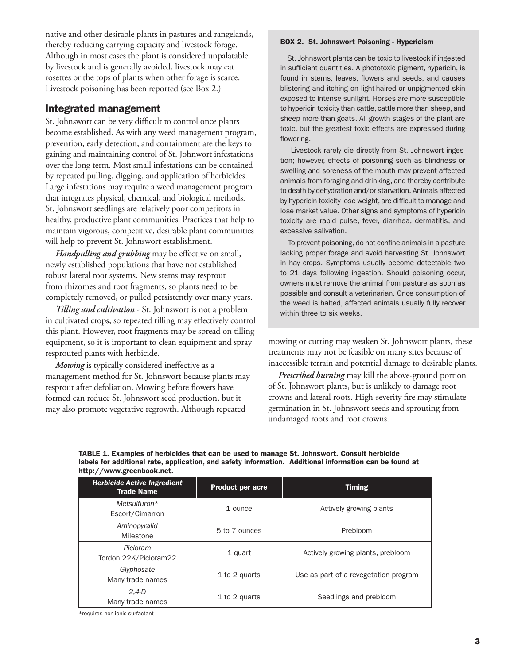native and other desirable plants in pastures and rangelands, thereby reducing carrying capacity and livestock forage. Although in most cases the plant is considered unpalatable by livestock and is generally avoided, livestock may eat rosettes or the tops of plants when other forage is scarce. Livestock poisoning has been reported (see Box 2.)

## Integrated management

St. Johnswort can be very difficult to control once plants become established. As with any weed management program, prevention, early detection, and containment are the keys to gaining and maintaining control of St. Johnwort infestations over the long term. Most small infestations can be contained by repeated pulling, digging, and application of herbicides. Large infestations may require a weed management program that integrates physical, chemical, and biological methods. St. Johnswort seedlings are relatively poor competitors in healthy, productive plant communities. Practices that help to maintain vigorous, competitive, desirable plant communities will help to prevent St. Johnswort establishment.

*Handpulling and grubbing* may be effective on small, newly established populations that have not established robust lateral root systems. New stems may resprout from rhizomes and root fragments, so plants need to be completely removed, or pulled persistently over many years.

*Tilling and cultivation* - St. Johnswort is not a problem in cultivated crops, so repeated tilling may effectively control this plant. However, root fragments may be spread on tilling equipment, so it is important to clean equipment and spray resprouted plants with herbicide.

*Mowing* is typically considered ineffective as a management method for St. Johnswort because plants may resprout after defoliation. Mowing before flowers have formed can reduce St. Johnswort seed production, but it may also promote vegetative regrowth. Although repeated

#### BOX 2. St. Johnswort Poisoning - Hypericism

 St. Johnswort plants can be toxic to livestock if ingested in sufficient quantities. A phototoxic pigment, hypericin, is found in stems, leaves, flowers and seeds, and causes blistering and itching on light-haired or unpigmented skin exposed to intense sunlight. Horses are more susceptible to hypericin toxicity than cattle, cattle more than sheep, and sheep more than goats. All growth stages of the plant are toxic, but the greatest toxic effects are expressed during flowering.

 Livestock rarely die directly from St. Johnswort ingestion; however, effects of poisoning such as blindness or swelling and soreness of the mouth may prevent affected animals from foraging and drinking, and thereby contribute to death by dehydration and/or starvation. Animals affected by hypericin toxicity lose weight, are difficult to manage and lose market value. Other signs and symptoms of hypericin toxicity are rapid pulse, fever, diarrhea, dermatitis, and excessive salivation.

 To prevent poisoning, do not confine animals in a pasture lacking proper forage and avoid harvesting St. Johnswort in hay crops. Symptoms usually become detectable two to 21 days following ingestion. Should poisoning occur, owners must remove the animal from pasture as soon as possible and consult a veterinarian. Once consumption of the weed is halted, affected animals usually fully recover within three to six weeks.

mowing or cutting may weaken St. Johnswort plants, these treatments may not be feasible on many sites because of inaccessible terrain and potential damage to desirable plants.

*Prescribed burning* may kill the above-ground portion of St. Johnswort plants, but is unlikely to damage root crowns and lateral roots. High-severity fire may stimulate germination in St. Johnswort seeds and sprouting from undamaged roots and root crowns.

| TABLE 1. Examples of herbicides that can be used to manage St. Johnswort. Consult herbicide             |  |
|---------------------------------------------------------------------------------------------------------|--|
| labels for additional rate, application, and safety information. Additional information can be found at |  |
| http://www.greenbook.net.                                                                               |  |

| <b>Herbicide Active Ingredient</b><br><b>Trade Name</b> | <b>Product per acre</b> | <b>Timing</b>                         |
|---------------------------------------------------------|-------------------------|---------------------------------------|
| Metsulfuron $*$<br>Escort/Cimarron                      | 1 ounce                 | Actively growing plants               |
| Aminopyralid<br>Milestone                               | 5 to 7 ounces           | Prebloom                              |
| Picloram<br>Tordon 22K/Picloram22                       | 1 quart                 | Actively growing plants, prebloom     |
| Glyphosate<br>Many trade names                          | 1 to 2 quarts           | Use as part of a revegetation program |
| $2,4-D$<br>Many trade names                             | 1 to 2 quarts           | Seedlings and prebloom                |

\*requires non-ionic surfactant